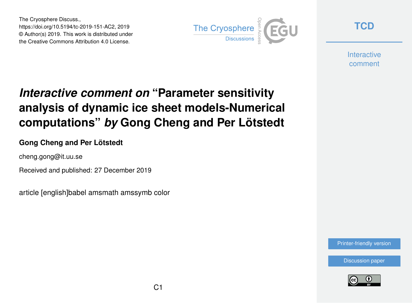The Cryosphere Discuss., https://doi.org/10.5194/tc-2019-151-AC2, 2019 © Author(s) 2019. This work is distributed under the Creative Commons Attribution 4.0 License.



**[TCD](https://www.the-cryosphere-discuss.net/)**

**Interactive** comment

# *Interactive comment on* **"Parameter sensitivity analysis of dynamic ice sheet models-Numerical computations"** *by* **Gong Cheng and Per Lötstedt**

### **Gong Cheng and Per Lötstedt**

cheng.gong@it.uu.se

Received and published: 27 December 2019

article [english]babel amsmath amssymb color

[Printer-friendly version](https://www.the-cryosphere-discuss.net/tc-2019-151/tc-2019-151-AC2-print.pdf)

[Discussion paper](https://www.the-cryosphere-discuss.net/tc-2019-151)

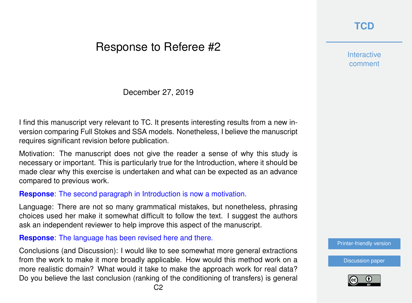# Response to Referee #2

December 27, 2019

I find this manuscript very relevant to TC. It presents interesting results from a new inversion comparing Full Stokes and SSA models. Nonetheless, I believe the manuscript requires significant revision before publication.

Motivation: The manuscript does not give the reader a sense of why this study is necessary or important. This is particularly true for the Introduction, where it should be made clear why this exercise is undertaken and what can be expected as an advance compared to previous work.

#### **Response**: The second paragraph in Introduction is now a motivation.

Language: There are not so many grammatical mistakes, but nonetheless, phrasing choices used her make it somewhat difficult to follow the text. I suggest the authors ask an independent reviewer to help improve this aspect of the manuscript.

**Response**: The language has been revised here and there.

Conclusions (and Discussion): I would like to see somewhat more general extractions from the work to make it more broadly applicable. How would this method work on a more realistic domain? What would it take to make the approach work for real data? Do you believe the last conclusion (ranking of the conditioning of transfers) is general **Interactive** comment

[Printer-friendly version](https://www.the-cryosphere-discuss.net/tc-2019-151/tc-2019-151-AC2-print.pdf)

[Discussion paper](https://www.the-cryosphere-discuss.net/tc-2019-151)